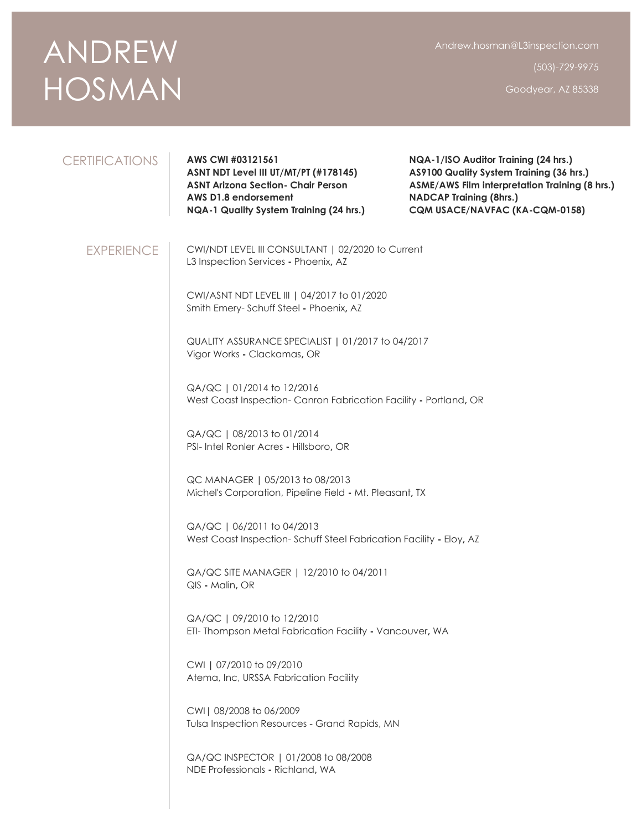## ANDREW HOSMAN

Andrew.hosman@L3inspection.com

(503)-729-9975

Goodyear, AZ 85338

## CERTIFICATIONS **AWS CWI #03121561 ASNT NDT Level III UT/MT/PT (#178145) ASNT Arizona Section- Chair Person AWS D1.8 endorsement NQA-1 Quality System Training (24 hrs.) NQA-1/ISO Auditor Training (24 hrs.) AS9100 Quality System Training (36 hrs.) ASME/AWS Film interpretation Training (8 hrs.) NADCAP Training (8hrs.) CQM USACE/NAVFAC (KA-CQM-0158)** EXPERIENCE CWI/NDT LEVEL III CONSULTANT **|** 02/2020 to Current L3 Inspection Services **-** Phoenix**,** AZ CWI/ASNT NDT LEVEL III **|** 04/2017 to 01/2020 Smith Emery- Schuff Steel **-** Phoenix**,** AZ QUALITY ASSURANCE SPECIALIST **|** 01/2017 to 04/2017 Vigor Works **-** Clackamas**,** OR QA/QC **|** 01/2014 to 12/2016 West Coast Inspection- Canron Fabrication Facility **-** Portland**,** OR QA/QC **|** 08/2013 to 01/2014 PSI- Intel Ronler Acres **-** Hillsboro**,** OR QC MANAGER **|** 05/2013 to 08/2013 Michel's Corporation, Pipeline Field **-** Mt. Pleasant**,** TX QA/QC **|** 06/2011 to 04/2013 West Coast Inspection- Schuff Steel Fabrication Facility **-** Eloy**,** AZ QA/QC SITE MANAGER **|** 12/2010 to 04/2011 QIS **-** Malin**,** OR QA/QC **|** 09/2010 to 12/2010 ETI- Thompson Metal Fabrication Facility **-** Vancouver**,** WA CWI **|** 07/2010 to 09/2010 Atema, Inc, URSSA Fabrication Facility CWI| 08/2008 to 06/2009 Tulsa Inspection Resources - Grand Rapids, MN QA/QC INSPECTOR | 01/2008 to 08/2008 NDE Professionals **-** Richland**,** WA